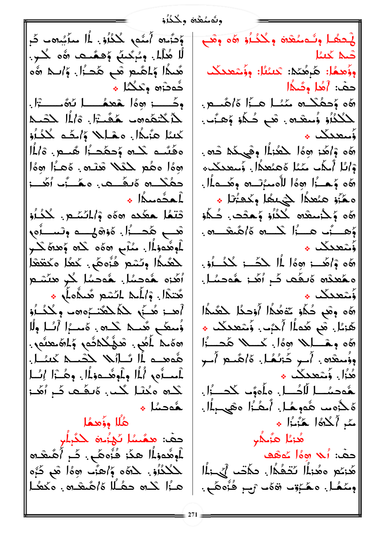وَحَقَّمَه أَمَنُوا لَكُنُوْ. لَمَا مِمَايُدِهِ وَ لًا هُآلَ. وِبُكِيَّعَ وُهِعَيْتِ ۞هُ كُبْرٍ. هُدِمَا وَلِمَسْمِ هُمِ هَدِءًا. وَٱللهُ هُو حُەئزە وتىڭگا ھ وكُـــــز هِهُ الْمُعْمُــــا نَهُ ــــثَلْ. لِمُكْتَكَمُومَ هُقُمْتُوا وَالْمَالِ حَدْمِهِ كْتِبْلَ هَزَيْجًا. وَهْلُمْ وَاحْدُه كْتُبَارُ وَقَيْدِ كَلُّهِ وَحِقَّحَةُ هُدِمٍ. وَالْمَا هِهُمْ وَهُمْ لِلْمَلَا مُنْسُوبٍ وَهِدًا هُوَا حفُكْ ۞ هُنفُ هَا. همْشُوْبَ أَهْبَ أحدَّد الْهُم الله عليه الله تْتَعُلْ هِتَكُدُ 300 وْالْمَنْسُو. ݣْكْتُوْ قىس ھُڪرا. ەُوھىسى وتىسىأەر ـُلُوهُـدوَـدُاً. مُنْآبِ 50% كَـ31% وُهدَهُ كَـلـر لِحَعَّـٰهُا وِنَـْتُـع فُنُوهُو. كَعْدَا وَكَعَعْدَا ٱمَّذِهِ هُوصِبًا. هُوصِبًا كُلِّ مِنْشَـمِ هَتِدًا. وَٱلْمَطِ الْسُعِرِ هُمِدْهِلُو \* أهمز هُــَنِ لِلْمَلْعَنْــَمِ، وَلَلْمَــُرُوْ ؤُمعكَـــح هُــــمْ كَــْــده . هُمـــبُرْا أَنْــا وِلَٰا وَمِنْكَ الْمُعْمِ بِ شَوْلُكُلْكُمْ وَالْمُتَعَمَّدِ. هُومده ـأا تُــأنَــلا للآصـــــــم كَننُـــا. ـلْمـــأَى أَلَمَا وِلْوِهُــوفِلَا. وِهُــْزَا إِنُــا كُلُّهَ مَكْشًا گُلْبٌ. ةَنفُلُّفْ ضُرْ أَهُنْ هُ مَصْلِ هُلًا وِؤْهِهُا حقَّ: همَّسُل نَهْزُمِهَ لِكَبِلُرِ ـلَّوِهُـٰدوَـدًا هكَ: فُنُوهَـٰعٍ . كَــرٍ أَهُــفْــه لْمُكْذُوْ. لِهُمْ وَاهِنُه وِهَا هُمْ كُرُه هـُزَا لَكـ ه حصُلًا هُ/هُـعْــ ه . هكعُــا

لْمَحْصًا وِنُـمْمُعْدَهَ وِكْخُلُوْ هَءٍ وَقَبِ |شم كىئا وِؤُهِمًا: هَٰزِهُكُمْ: كَبِئْنًا: وِؤُسْعِدِكُت ||حق: أهُا وِئَـٰهُا هُه وٌحقُكُم مَنْكُلُّ هَـزَّا هُ/هُــع. لْمُلْكُلُوْ وُمْعَقّْدُهُ . هُمْ شُكُّوْ وُهِنُّف. أؤمعدكم \* هُه وَاهُدَ هِهُمْ لَحْمُدَاْ وِقِيحَهُ دَهِ. وْاْيُلْ أَيْكُفْ مَيْنَا وْمَنْعَجَالْ. وُمْعَدِكْتْ: ركَاهِ وَحِسْرًا رَوْءًا لِلْعَسْرُتِينَ وِهَٰتِ الْمِ معَنَّوْ هِنُعِجًا لِحَيْبِيعًا وِكُعِبُّرًا \* 6ه وَلأسفَه لَكْلُوْ وَحقت. حُكُو وُهِـــأم هـــأا لَمْــــهِ وَاهَّـهْـــهِ. أؤشعدكما \* هُه وْأَهَب: هِهُمْ لَمْ لَكَب: كُكُبُوفٍ. ەھكىدە ەلقما كى أهُد ھُەجسُل. أؤشعدكم \* هَه وِهْمٍ حُكْوَ تَوْهُدًا أَوْحِدًا لَكْتُدًا هُ;ىُلْ. هُمْ هُدَاْلُ أَحْبُو. وُمْعَدَكُمْ \* هُه وهْسللا هِهْلْ كَمِيلا هُجِسْأَا ووُمعْدَه . أُسو خُرْبُهُا. ݣَاهُنْ (أُسو أَهْزَا. وَ عَطِيكَ \* هُوجِسُطِ لَّاجُطِ وَلَوْوُبِ كَلِّحِصَرُلَ هُ جُوْمٍ هُومُ لِي أَمِكْرًا وَهْيَ بِلَا }. || سَرِ أَكْدَهُ| هَذَا \* هُذِمًا هَٰٓنِيكُمْ  $|\cos \theta|$  is  $\cos \theta$ هَٰذِكُمْ هِهَٰذِلَٰا تَتَـفُـهُا . حكَّتَـب أَيْــزِلُمْا وِسُمُا. مِمَّزِّتٍ ۞هُ ۚ رَبِ فُزُهِكَى.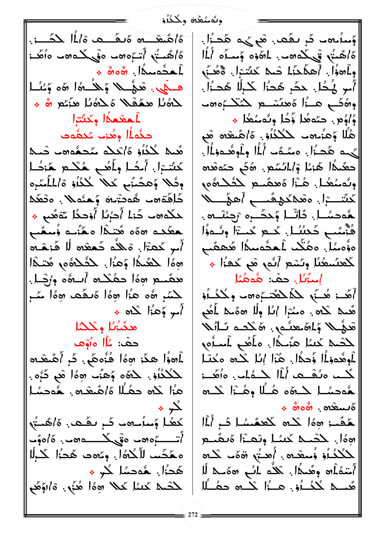هْ/هُبِعْبِ مِ هُبِهِ صَدْرِ الْمَالِ حَدَّبٍ. كَمَاهُـــُّنِ أَتَــَرُه 100 مِنْ مَثْـــهُ مِنْـــهُ أَهْـــزَ  $\rightarrow$  300  $\rightarrow$  12000  $\hat{L}$ فَنِّي. شَوْئُنَا وَجَلْنُوهُ أَوَّهُ وَجُنُنَا لِمَوْمًا مِعَصَلاً هَلَاهُ لَا مِنْكُمْ \*\*\* أحقمأا وكثترا حذُه أل وهُنِ مُحفَّده هُدِمْ لْكُنُوْ هَ/ْدَكْمْ سُحْهُوهِ- تْسِطْ كَتَنْتِهِلْ. أَحدًا ولَمُعْنِي هُكْمِ هَوْدًا وِثُلا وُهشَنُم كَلاً ۚ كُلْأَوْ وْالْمُلْمَرِه كْلْفَة، هُءَدْتُمْهُ وُهِنُمْلًا . هَقَطْ حكْدهب حُزا أُحرُبُا أُوْحِدُا تَّەهُب \* حَقَّدَةَ 200 هُنْدُا مَخَّزُنَةً وُسَعَّبٍ أَسٍ كَعَتْزَا. وَلِكُمْ كَعِعْدَهِ لَا قَزَهْـهِ هِهُا كَعَْبُمُا وُعِزًا. كَثَكْرُهُ مِ مُتَبَالَ همَّــم وهُ احمُكُــره أسوُّه ورُجَّــا. لحَمَّدٍ هُو هزًا هِوُا وُبِعُهِ هِوُا مَنْدٍ أمو وَهُمَا كَمْ \* هدُّنُرُل و كَلاَمُل حقَّ: عْلَا هِأَوْهَا الْهُوَا هِدَ وَوْا فُزُوهَى. ثُمِ أَهَبْعُدُو لِلْكُلُوْ. لِمَوَّه وَهِنَّكَ وَهُوَ هُوَ كَرُه. هُ;ُا ۚ ݣُلُو حَقُلًا وۡ اهۡ هُمْ و عِنْ هُوحِسُـل گو ۽ كَعُمَا وَمِيأْتِهَا فَ لِكُنْ. هَاهُتُوْ أتـــــــــوه عن المسلمة وسعود المستقرِّ همَّحُس لِأَحْدُهُ!. وِمُحِد هُدُهُ! كَبِرُلَا هُدُرَا. هُەدىبُا كُر ۞ لِكْتُمِكُمْ كُمِيْلُ كُمْلًا هِوَٰهُۚ هُنُوبٌ وَٱوۡ هَمۡعَ

وَسَلَمَهِ مَنْ مِنْ مِنْ مِنْ مَسْتَقِيبٍ كَذَا مَكْسَنَ وَالْمَحْمَدِينَ مِنْ مَنْهُ مِنْ مَنْ مَنْ مَنْ الْمَارَ وِلْمَوْلِ أَهِكْذَا شَهْ كَتُبْرِلِ وَّهُنَّى أُس لَيُحًا. حجّ هَجُا كَبِلًا هَجَّا. وَهُكُمْ هَـزُا هُعَنَّسْـع كَتَكْبُوهِ أَوُّاوُم . حَدَّهُما وَّكُلُّ وِنُدَمُّهُا \* هُلَّا وَهُنِيهِ بِ حَكْدُوْ. وَاهُبِعْدِهِ مْع جُبْ هَجَزَا ، مِنْجُبٌ أَلْمَا وِلْوِهْجُوَلَمَا . حعَّىمًا هَٰٓءَيْا وٖۡٱلۡضَمِ ۖ. هُۖ صَدَّمَوه وِثَمِنُعُلٍ. هُـْزَا هُعِمَّىـع لِخُكْرُهُ و ݣْݣْتْسْتْرَا. ەقْعْكَجْفْسْبْ أْهِنْيْسْمْ هُوحِسُــا. دُاتْــا وُحكَـــرِه رْجِسُــْهِ . فُنْمُب كَدْسُل. كُــع كُنــٰٓ;ا وِنُــٰهُوا ەۋُەممُاً. ەھُنَّكَ لَاھشُەمىھُا ھُھھَّىم لْكَعِنْسِعْنَا وِنَسْعِ أَنَّمٍ هُم كَحَزَّا ﴾ إسْرَبُلْ حِفَّ: هُوصُمُل أَهَد; هُــَ; لِلْمُلْهَنْــَمِ، و لِكَــُـاُوْ هُمِيم كُلُونَ وَمُبْرَأَ إِنَّا وَلَا وَوَقَعَ لَمُعَ هَيُّى وَلِمَحْسَوِ. هَكْصَهِ تَسْأَلُمْ لِكْتُمِ كَتِبًا هَزَيْكًا. مِلَّعُبٍ لَمْسَأْهِرٍ لْمِعْدِفِمَا وَحِدًا. هُوَا إِنَا كُلْمَ دِيْدَا لَّكُــد وَنُقَــد أَلَمَّا كَــدُامَةٍ. وَأَهَّـــز هُوصِبُ لِي ذَيْنَ وَأَسْلَا وِهُــْزَا يَجْــرَهِ  $\frac{1}{2}$  $\frac{1}{2}$  $\frac{1}{2}$  $\frac{1}{2}$  $\frac{1}{2}$  $\frac{1}{2}$  $\frac{1}{2}$  $\frac{1}{2}$  $\frac{1}{2}$ هَقَىٰ; وَهُ! كُلُّهُ كُعْفُسُا ثُمَّ أَلْمَا هِهُمْ. حَصْبِهِ كَبِيُبَا وِتَعِيْرًا هُبِصَّعِر لْمَكْتُدُو وُسْعَدُه . أُهْتُو آهَ مَا كُلْهِ أَسْمُلُو وِهُدِمَا بِ بَلْاً عَلَى وَوَصَدًا لَ هُمِـــمْ كُكُـــرُوْ. هـــزُا كَــــرَّةُ حَقُـــاً ا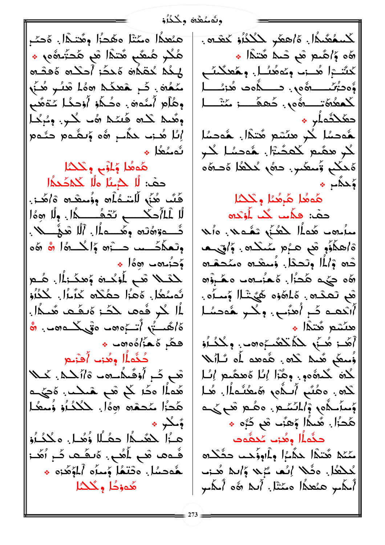هنُعداً مِمَّتْا مِعْجَزًا وِهُتِبْدًا. هُجِّ هُكُر هُىعٌمٍ هُتِمًا هُمْ هُجَّنَّةُهُ ﴾ لْمِنْكُمْ مُقَكّْمَةٌ مُحَدَّدٌ أُحكْدُه هُقْدُه مَّعُمُّهُ. کُـَّ هُعَکُّکُ هُهُٰا شَنُّرٍ هُـُزُو وِهَٰٳُم ٱمۡدَهُ ۚ. وَكُـٰكُمۡ ٱوۡحَـٰٓا ۖ عُـٰٓةَهُـٰبِ وِهُىمْ ݣَاهْ فَسَّمْ هُبَ كُتْبَ وَيُبْكَأُ إِنَّا هُـنِي حَكْمِي رَهُ ۚ وَيَحْتَوْمَ حَيْتُومِ شەمگەل ھ هُوهُا بُلزْمٍ وتَكْثَلُ حفَّ: لَا حَبْسًا وَلَا حَكَمْحَمَّا كُلُّب هُنَّى لَّاسْكُلُرُه وِوُّمعْنُدِه ةَ/هُــز. لَّا غَلاَّادكسسي نَتْخُسْسِيْدَا. وِلَّا هِءَا ثَــــەوّەتُە وهُــــــەـال ٱلله تَعهُّـــــــــلا . وتعكَّسَــب حـــْزه وَالْحَـــهُ الله هُه း ၂၀၀ မတက်ခန့် لِكَتَلا شَمَّ لَمُؤْكِّدَةَ وَجَعَدُوْلًا. هُنْعَ نُمسُعُل. هُمَزُل حمُكُله كَلَسُل. كُكُلُو لَمَّا كُلِّ قُومَا حُكَّ; وَيَقِّمَا مُحَكَّلٌ. ەلگىگە أَتْتَبَعْدَهُ مَتَّى كَتْتَ هُمْ مَنْ مَنْ مَنْ مَنْ A Loroolia 6 Les كَخْدَمُا ومُحزب أُهْزَمِ ھُم کُم اُوَقَىدُ مِن ۃااُکھ کے لا هُدماً وحًا لَكُمْ هُم هُمكِ، وَحَيْثَ هَٰدُا مُحمْد وها. كَكْدُوْ وُمعُكَ ۇنگىز ÷ هـزُا ۚ لِكَعُــدًا حمُّـلًا وُمُــل مكْـُـرُو فُّـه تَـه لَمُهَا وَ مَكْـها ضَرْ أَهَـٰهَـٰ هُوجِسًا. وَقَنْعًا وَمِيرُهِ أَلْمَوَّهُوْ \* هُدوْجًا وكُلْمًا

كْسِعُعَكْمَا. هَ/هعَدِ كَكْذُوْ كَعْدَهِ. هُه وُاهُيع هُم شَيْمًا \* كَتُنْتِهِ هُــنِي وَحْمَقُولِ وَهَعَكْمَنَّع وَّەدْتُرَكْــــــــوْهِ بِ دَـــــــدُّەت هُـزَنُــــــا لْمَعْدَهُ تَــــدُهُ مِ , وَهُمَـــــز مُنْتَــــا |حعَّلاَثُه لُم \* هُوصِمًا كُلِّ هِنّشُمْ هُتِمًّا. هُوصِمًا كُرِ هِمَّمِ كُمِحَتْلَ. هُوَجِسًا كُر ەُككىم قُسطَىر. دەُر كَكْعُدْ ەَدىھە |وٌحدٌ و هُوهُا هُرهُمُا وِكْلِمَا حق: فَهَمْتَ كُمْتَ أَوْتَدِهِ سأمحه هُدماً للعُنَى تمُدهد. وألا ة اهكُنُو هُم هَبْم سُنْدُهِ. وَاقِيم دُّه وْݣَالْ وتَّحَدَّلْ. وُسْعْدُه مَنْحَمْـه ه آبهه ه عنداً. همهنده به معنونه هُمْ تَعْدُهُ وَالْمُؤْهِ هَيُنْتَالَ وَمِعَاهُ وَ أَاتَكُمْتُ ضَرٍّ أُهْنُتُمْ. وِكُنْتُو هُوَصِيْنَا هلَّسْمِ هُتِّمَا \* أَهَد: هُــَنَ، لِلْمُلْلَهُدَ بِ٥٥٥-. وِلْكُــاُوْ ؤسطَى هُمك لَكْنَ . هُءَهد لَمَاه سَلَّالِكَلَّا كُنْ كُدِيُّودٍ. وِيُّوْا إِبْلَ دُهِيمُو إِبْلَ لَاه . ەھُنَّم أَىـدُّە ، ھَـعُنُـماًا . ھُـا وَسَرَسةَ وَالْمَسْمَدِ. وَهُم تَوَسِيمَ هَٰحُزًا. مُّنجًا وَهِنَّت هُم كُرُّه \* حَدُّه أَلَ وِهُنِت كَحَقُّوت مِّمُمْ هُتِمْا حِذِّبًا وِلْمُووَّحِبِ حِثَكُم بُعْلِهُا. وَثَلاَ إِنَّمَا يُرْبَعُ وَإِلَيْهِ هُدَبَ أَسْكُسٍ هنُعْدًا لَ مَمْتْلَ. أَبْدَ هُءَ أَسَكَسِ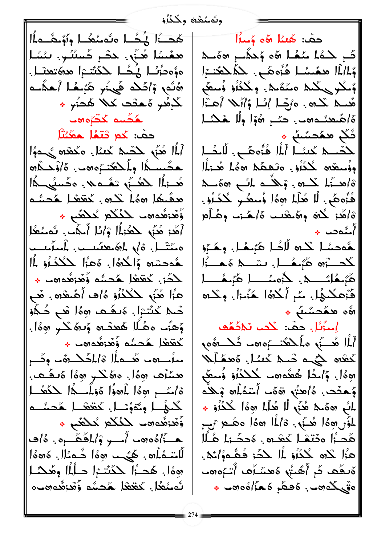كَحِبُّلَ لَمِحُبَّلَ وَتَوَمِّعُهَا وَأَوَّمِعْهُمَا ھمَّسُا هُيَّى. حصَّ ٍ صَّسُرٌ. سُمُّا هؤُهدُنُــا لِمُـدًا لِكَنَّنَــْمِ العِمَّتِعِبْـا. هُنُم وْاكْدْ فْيْ مْ مْبْعْدْ أَهْلَت كُرِهُرِ هُـعِنْتِ كَلا هُـتُـرٍ \* هَكَسه كَتْزَهِها حقَّ: كَمْ قَتْمًا هَعَيْتًا أَلَمَّا هُذَهِ لِلْشَيْءِ كَبِيَاً. وَكَعْدُهِ يُهْوَأُ هضَسْكُا وِلَمَحْقَنَّزِهِ مِن وَازْحِكْهِ هُــزُلُم كَعُــزُو مَعْــهِ مَــ مِكْسِيُمْ الْمَنْسَمِينَ مِنْ هدَّمثُه الأَمَّاءُ مِنْ كَتَعْمَلْ هُدِسُه وَّهْزَهُوهِ لِلْمُكُمْ يُحِكْمُ \* أَهَٰذٍ هُنِّهِ حَعْدَاً أَوَّا لَمْ أَحَكَّبٍ. تُمسُعُل ەمئتْل. ۋاپ لمۇمعتىسى قىمتىس هُوَجِسُو وَالْحُوَّا. وَهَٰٓا كَلَّكُـرُوْ لَٰهِ لْكُتْزِ. كَقَفْلُ هُجِينُه وُهْزَهُه مِن \* هزًا هُنَّهِ لِلْكُنُو هُ ُ اللَّهُ مَعْدَهِ . مَّع تَـٰہ كَتُنٓءٖا ٖ. ەُنفَـٰڡ وِهُا هَـٰ دُـكُوْ وُهنَّى مطُّلًا هُعثَــُه وَبِـهَ كَــُو هِهَا. كَتْتَبْقَدْلُ هُدْشُه وَّهْزَهُدە \* مدائسوما حَسومًا وْكُلْمَكْتُوم وْكُسْر همَّآه وه ابن وهَ كَبِر وه الله مَكَّب. ةَامَّى بِهِهَا لَمُعَوَّلُ هَٰذِلَّكُمَّا كَكَعُّــا كُنْهُا وَثَوْرْبَانَ كَقَعْنَا كَمَنْتُ وَهْزَهُه مِنْ الْمُلْكُمْ يُحْكَمُ \* هسَزّاهُ٥٥هـ، أُسبو وْالمَفْضَّبِ٥. هُ١٥ اَهْتَمَالُهِ . هَيُّبَ اهْمِ سَرْبُهُ . هَدْهُ ا هِهُل. هُجِيُرَا حَكْتُبْ (حَلْمًا وِهُجْمًا ثَمسُعُل. كَعَبْقَلْ هُجِسَّه ؤُهْرْهُهِ مِنْ

حقَّ: هَلْمًا هُو وَسَأَلَ كَمِ لَكْمًا مُنْصًا هُو وَجَدَّمَ هُوَ مَ وَّاَاْمَا هِمَّسُا فُزُوهَــعٍ. كِلَاحِقَـٰـٓءِا وَْمِكْنِي بِكَلْمَاءَ مِمْدَّمَاءِ. وِكْكُرُوْ وُسْعَكِمْ هُمِيهِ كُلُّهِ . هُ رُجُّهُ إِنَّهُ وَإِنَّهُمْ أَهِيَّةُ هُ/هُبعثوموس. حمّر هُوْا وِلًا هَكْما  $|\mathring{\mathcal{L}}\rangle$ أَفَكُمْ مَعْصَمَتُمْ لِكْتُسِيمْ كُنْتُ أَلْمًا فُزُوهُبٍ. لَلْمُصُلِّ وؤُسِعْدِهِ لَكْنُوْ. وتَعِيَّلُهُ 20\$ هُـزِيْلُ ة/هـذُا كَـــهِ. وَلِكُــه اللّ هوَمــد قُزْوِيَ ﴾ لَا هُلْمَا هِوْا وُسِعْبِ كُكْبُوْ. ةاهُدْ كُلُّهْ وِهَيْقْتِي هَا هُـنِي وِهْـأَمْ أأُمثَوها ﴾ هُوصِيًا كَلُّو لَأَصُلُّ هُزَيمًا. وِهَجْوْ كْحَسْتُوهِ هَيُهُسَا. بِشَيْدِ هُمْسَرًا هُبُمائِكُ، جُومِيْكِ هُبُمْكَ قَرْهِكُمْمَا. سَرِ أَكْدُهَ الْهُنْمَالِ. وِكْدَه  $\hat{\mathcal{S}}$ ە ھەكسىنىگ $\hat{\mathcal{S}}$ إمبرَّبُل. حقَّ: كَلَّفْ لْلاَفْقُفْ |أَلَمْ الْمَسَنَّى ولَمَعْكَسْهَوْهِ وَكُلَّ وَهُومِ كَعْدَه لَجْيَء تَسَمْ كَتْتَا. ةَهْمَالُهُ الِهِوَّا. وَٱلْحُلُّ هُعْدُهِ كَلَّكْلُوْ وُسْعَى وَمِعْدَدٍ. هُ/هنُو قَوَّمَد أَسْفَلُرُه وَهِدَّه لْمُ 50 مَنْ الْمَلْلُ وَهُ كُنُوْ \* لمَؤْرِهِهُ| هُـنَّى. ةَالْمَا هِهُ| هَصُـع رَبِّ هُدأًا ودْتَهْا كَعْدِهِ . هُحَدْ: الْهُمُّا هزُا لَكِم لَكْنُوْ لَمَا لِكُمْ قُهُّدَوُّائِكَا. ەَبْقُفْ كُمْ أُهُنُيْ وَهِنَبِأَهَا أَتْبَرُوهَا \* Loroolia o páso . Loral jo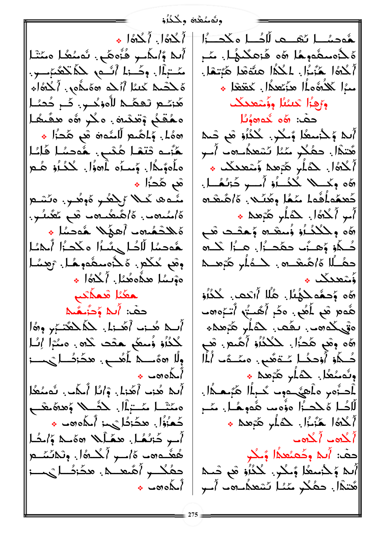وئەمئىئىزە ولمىئاۋ

أَحْدَهُ الْمَحْدَهُ \* \* أَىك وَٱمكْسِرِ فُنُوهَى ِ. ثَومُعُكُمْ ومَنْشَا مَّتِبْلًا. وِكْنا أَنَّمِ لِلْمُتَحَمَّنِبِ. هَ لِحْصَلِ لَمَنَا أَآلِكَ مِهَ شُمْسٍ. أَخْذُا هُ هُزئے تَعَصَّٰہُ لِلُّہۡوَیُکِ ۖ وَلَٰٓ ہِ کُمِنَا ۖ ەھقْدُ ۋَتَعْدُدَه . ەڭر ۋە ھقَىغَا ههُا. وَلمَصْعِ لَّاسُوهُ هُم هَٰدُا \* هُنُت دْتَهْا هُدْبٍ. هُوجِسًا قَاسًا ەلمُەوَّىدًا. وَمِيزُه لَهُوَّا. كَكْتُرْ هُيو هُم هَٰحُزًا ﴾ مَنْدِهِ كَمِلاً رَجْعُتُ وَوَهُمْ وَوَائِدِهِ وَكُسْعَ ەُ املىدەت. كَاھُتْھُتەدى ئېر كَعَّنىڭ . كَالْمُدْهُمُونَ أَهْلُولاً هُوَدْمُلْ ﴾ لَّـْمَاْ ايْـْمَدَّه ايْـسْرِ لِـضَلَّا لَمْـعفُ وقع كُكُم، هَكُومىڤُومِمُا، رُهِسُا ەۋىسُا ھەمگەنگىل أىڭدە : معكئا شمكتب حق: أَلِّهِ وَجَنَّعَمَهِ أَسِمْ هُـنِي أَهُـنِهِ. لِلْمُلْقَنِّبِرِ وِهَا لْحُذُوْ وُسِعَى حَدْثِ لَاهِ . مِنْتِزَا إِنْبَا وِلَا «ەَـــد لمُعْـــــى. ھڪُرْڪُـــل ٓـــِــــز أَبِيهِ هُذِبِ أَهْذِلِ. وَإِيَّا أَيْكُبِ. ثَمِيْعُل ەمَتْسَا مَتْبَالُ لِكُسْلا وَمِعْهُ هُب كَعَزّْوَا ، هكَذْتُكُمْ يَهْدَ أَمْكَاهِ هَبَ أَسو حَزْنُهُا. همَّالُلا «ەَسْلا ۋَٱمْتُا ھُھُــدەم ەَ، ب أَكْــدە!. وِتكْسُّــم حفُكْبِ أَهُبِعِيدٍ . مِحَرْضُلُ يَهِيءَ  $\cdot$   $-\infty$ 

هُوجِسُنَا نُهْبَ فَالْجُبَانَ كَلَجَبَ ٱلْمُ ەڭ دەسقەرىما «ە قەھڭىھا. سىر أَكْثَرُا هُنُنُا. لِكُدًا عِثَوْهَا هَبْتِهَا. سْرَا كْلُرُهُومُا مِنْتَعِمُا. كَعْعَدَا \* ورُجِزًا تَنسُّلُ ووُسْعِدِكُمْ ا حقّ: 60 مُدەولُ أَىك وَلِكْنِسْعَكَا وَمَكْنٍ. كُكْنُوْ هُمْ شَيكَ هُتمْاً. حعُكُم مِّمُا تَسْعَدُ مِن أَسو أَخْذَا. حَمَلُو هُبْعَدْ أَسْعَدَكَ \* هُه وكُمِيلًا كُحُمُ أُو أُسِيرٍ حُزْنُهُمْ . كَعِدْهُداْهُدا مُنْهَا وِهُنَىٰ؟. هَ/هُنْهُدُه أَبُسٍ أَكْثَارٍ. كَمَلُسٍ هُرُمَدٍ \* 00 وِلْمُلْمُلُوْ وُسِعْدِهِ وُهِتَدِتَ هُم كُـّٰهُوْ وَهِـــرَّٰهَ حَقَّدَــزَٰا). هــزَٰا لَمْـــرَه حعُــُلا هُ/مُـعْـــم . حــهُـلُو هُرِمـــم أؤشعدكم \* هُه وُحِعْهِ حَجُّمًا. هُمُّا أَاتَحِفَ حُكْرُوْ هُّەمْ هُمْ لَمُوْمٍ. وَكُمْ أُهُنُّوْمُ أُسْبُوهم ەق كەھە. ئۇغا. كەلم ھەممە هُه وهُم هُدُا. كَكُنُوْ أُهُمْ. شَم كُــكُاوْ أُوْحَكُــل كَــتَەمَّىــى، مَمَّـــەًــ أَلَمَّا أُوثُومُعُدًا. كَمُلُرٍ هُرَمَدٍ \* لْمَدُّورِ وَلَمِيْدُوبِ كَبِرَاْ هَرَسَهْاً. لَّاحُـا هَـٰكَــزَا هؤُهِـب هُهوِـمُـا. مَيْتِ أَكْثَرَا هُنَّنَا. كَمَلُو هُبْعِد  $\|\tilde{\lambda}^{\lambda}_{\text{max}}\|$  ک ||حق: أَبْهِ وِجَعِيْعِدًا وَيَكْرِ أَأَلَّمْ وَلِأَسْعَدَا وَّلْكُنْ. لَكُذُوْ هُمْ شَنْدًا ||مُتَمَّا. حفُكْر مَّنْـا نَسْعِدُــهِ- أُسِر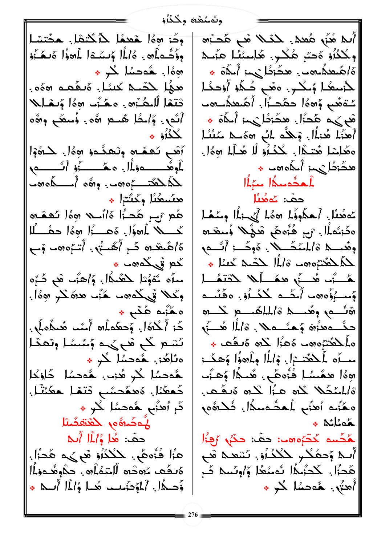وَدَّ وَهُ هُعِمُ لِأَكْتَمْلِ. هَتَّسْل وَذُهُـه أَله مَا اللَّهُ إِنَّ مَـمَّـذَا لَمَّاهُواْ وَالصَّنَّاوَ 169 - هُوصمًا لَحْدٍ هِجُا لِكَسِيا مُعْلَى وَسَعْمِد هُوَهِ. تَتَمَّا لَاحكُنْزَهَ . مَعَّنُت هِهُ! وَيَسْلِيهِ أَنُّهِ . وَٱمْثُلُ شَمْعٍ ۞هُ . وُمْعَكُمْ وِ۞هُ لْكُلُوْ ﴾ أَهْمِ نَعْقَدُ وِنُعْذُووْ وَوَٰهَا. كَافُوْا ـلُوهُــــــــــــــــوفـــــــــــزُو أَثـــــــــــــوم كَمُكْتُبْ مَءِهِ وَهُو أَكْمَنَ مَاءِهِ هنسعُنا وكنُترا م هُم رَبِّ هُدءُ وَأَرْكَبُ هَوَ الْحَقَّةِ هُ اهْتَشِده ضَرِ أَهُمْتُهِ. أَتَبَاءهم وَّسِ مِيَّاهِ شَوْمَا لِلصَّيْدَا. وَاهْنُتْ هُمْ كُبُّوه وكملا تزيك معامل مقاسم ومكر توكال ەڭمە ئەتىم ھ دَٰۥٓ ٱلۡكَاهَا. ۚ وَحفَمآه ٱمَّم شَدَّه لَهِ. ئشع کے قبے کے وَسَّسُا وِتَعَمَّا ەئاھْز. ھُەھسُا كُبْر \* هُوصمُل كُرِ هُزم. هُوصمُل كَاوْكُل كُمعَكْلَ. هُعفُهَشَبِ ثَنْقُلْ مِعَكْتْلَ. دًا أهنَّى هُوصُل كُلِّ \* لَفَصَّةُ وَهُمْ فَقَدَّمَهُ حقَّ: هُا وُاٰ اُلْ أَبِّد هزًا فُزُوهَى لِلْكُلُو هُو يُهِ عَلَى الله كَ مِكْتِ مُوجَّدَةَ لَلْتَجُلُّرَةَ . حَكْوِيْ وَجُلَّا وَّحِــدًا فِي أَعْوَدَ مِنْ مِنْ الْمَالِمُ أَسْلَمَ \*

أَبِيا هُنَّى هُعِدٌ. كَتْمَدُّلا هُم هَدَّ: ٥ وِكْذُرُو هُحَمْ هُكُـُو. هُلْمِئْنُا هَزَىــدَ هُ هَمْلاً مِنْ مَدَّدَتُ مِنْ أَمَلَهَ ﴾ لأسعُا وُلُكو. وهَم حُلُوَ أَوْحِفُا مُـٰةَهُـٰبٍ وَٱههُ | حَمَّد۔اُ } أَهُـُعدَاتِ مِـ هُمْ مَكْمَاً مِنْ كَامَتْ مِنْ أَمْكَاهُ مِنْ لَمْهَ أَهْذَا هُزااً. وَهَذَا اللَّهِ هَمْكُمْ مُنْشَا ەھَلِسْل هُتنىدًا. كْخُبُرْو لُل هُناْلِم هوَا. اهدَ اللَّهِ مِنْ أَسْلَاهِ مِنْ ﴾ الْمَدُّوسِياً لِمُبْلَّل حق: عُوهُنُا أَحْمَٰدُ إِلَى الْمُحَاوِدُ اللَّهُ إِلَى اللَّهُ وَسَمْعًا ەكْبْتُەلْما. <sub>ك</sub>ْعِ قُنُّەھُم شَهُّلا فُسْعَتْد وهُمسك ةالمُمَكِّبِلا ، هُوكَّة أَنَّسُم لِمُلْعُتَبُوهِ وَٱلْمَالِ لِكَسْمِ كَعَمَا \* هَـــَ;َــ هُـــَـزٍ, ههَـــألما لِمَتَتَهُـــأ وَمِسْأَوْهِ وَمَنْ أَمَضُتْ الْمُكْتُوفِ وَهَنَّسُتْ ەئىسى بەئىسىدا ئەلملىئەسىدا ئىسىدا حكُدهُوَة وَحِمْدها وَالْمَا هُـــزَى مألمغُترُه من هُمُزَا لَمْهِ هُرَ مُصَّفٍ مسأه لمكعَّنةٍ في المال ولم وفي المحكم: هِهُا هِمُسُل قُزُوهُم. هُنْهُا وُهِ بَ ة/لمَنْكُلا لَاه عزُا لَاه هُبِفُعٍ. ەھَنُم أَهْبَى لْمُحُمِيكَا. ئُكْتُوم | هُدْمُنْ \$ هُكُسِهِ كَتْرُهِ هِـ: حقَّ: حَتَّىٰ رُقِةُ أَىـدا وَحمُكْـرِ ۖ حَكْكُءُو ۚ. تَسْعَـدا شَع هَٰدُا ۚ. كَحَنُمُا شَمْعُا وَٰاوِنِّسا ضَرِ أُهتُو. هُـُوصُلْ كُمْ \*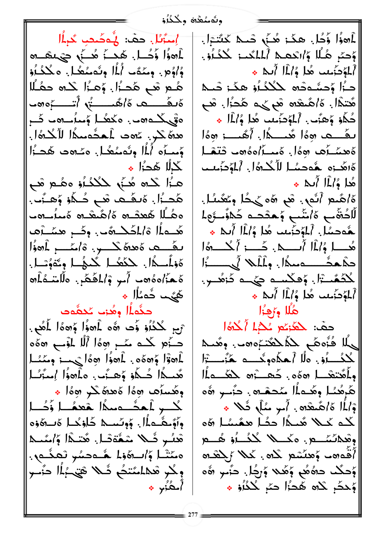[إمعزَّلْ حقَّ: لمُ هَدُهبِ كَبِمُ مْ هُوَّا وَّحُــا. هَجِــَ هُـــَى حَيْحَقِــهِ وُۢٳۅؙ۪٥ . ومَمَّهُٮ ٳُٰٓڵؙٳ وِثَمنُعُـٰلَ. ٥ كُكْـُرُوْ هُــم هُــع هُـدُ: } وَمـُ: الله حمُـُـلا ەڭگىگە ئاھىگىنىڭ قاتىسىغەد ەۋىگەھەب ەڭھگىل ۋىمائىس كە هِهَكُو. ݣُوفْ الْحَدُّومِيمُ الرُّحْدَةُ. وَْمِيزُهِ أَيْلًا وِنُوْمُعُكِلْ. وَيُنْهُفُ هُجَيْرًا ِ كَالًا هُجُرًا ﴾ هِ أَا لَكُ هُنَّى لِلْكُلُّاءِ وَهُـُمْ شَمٍّ هُجِبًٰٓا ﴾ وَيَضْحِبْ هُمْ الْحَكَّارِ ۖ وَجَعَبَتِ ﴾ ەھگا كەدئىيە كاھگى كە ئىماسەت هُــوَلَٰمَ اوْكُلْمَــوْمَــ وَكَــرٍ هِمَــرْه ىقّْسىم ەْھەھْكْسىر. «امْسىر لْمەؤُا هُوْلُمِيْاً. حَكَمُوا كُنْهُوا وِثَقَوْسَا. ەشقۇرەۋەم كې ۋالمۇھۇر. دالمنىشلە \* الْمُصَّ سَرْبُهُ حثَّملُّا ومُن حُكفُوت َرۡىٰ ۖ كُلۡدُوۡ وَۡت ۞ُه ـِلۡاٰوَٰوَا وَٰٖوٰءَا لَمَٰىٰ ۖ ۖ . حَذَّمَ كُلُّمْ مَنْهِ وَوَٰهُ أَلَّا لَمْؤَسَنٍ وَوَٰهُ لَدْهُوا وَهِ وَهُ أَوْهَا أَوْهَا مِنْ الْبَيْتِ وَمُنْكُمْ لَمْ يَوْمَنْكُمْ لَهُ مِنْكُمْ لَهُ مَ هُمِيكُمْ الْحَيكُوْ وَهِيَّمَ، وَلَمْهُوَا إِمْزَنَّبَا وهُسأم وهوا وهوه كم وهوا \* وِأَوُّحَـٰٓحَا الَّهِ وَوَكَّسَـٰهُ خَاوَىٰٰٓحَا ۖ هَ سَوَّوْه هْنُــو شَـــا مْــَـقْتَهْــا . هَتــداً وَامْنَـــدا ەمنتْل ۆاسەۋدا ھُـەدىئىر تېھىم وٖكُر مْدَامْنَتْمُ ثَـْلًا شَيْءُٕاُ دَّنْبِر أَحْدُو ﴾

ـأَهوَٰٓا وَّجُل. هِكَّ; هُـَىٰ حَــِـمْ كَتُبْتِمِّا. أَوْحِبُ هُـلًا وَٰۗاتَحِمِـدَ ٱلْمَلِّحْبِ: خُخُـرُوْ. ||ٱلمَوْدَنِيب هُا وُالْمَا أَبِيهِ \* حَزَّا وَحِسَّےدُه كَكْخُارُو هِكَـز تَّىــِكُمْ هُتمْاً. هُ/هُـعْده هُمْ لهُ عَصْدُاً. هُم حُكُوْ وُهِنَّت. ٱلْمُوَجَّنِيب هُلْ وُٱلْمَلْ ﴾ ىفّْسى ھۇا ھُىسىدا. أَھُىسىز ھۇا كَهِيَئِيَاهِم وَدَارٍ. كَمِيْدَاً وَدُومَ شَيْعًا ەْتكىزە بېھىچىسا للانكىغان قاتۇچۈست أهُدا وُالْمَا أَبِيهِ أَهْلَمْ مِنْ أَشَىٰ. هُمْ مَهْمَ يَحِطُ وَعَعْبَدًا. لْلَحُثَهُــعِ هَامْشُــعٍ وَحَقَّقَتَ هَٰذُوَّــؤَهِ َــدُّ هُ٥حِسُل: ٱلْمُوَجَّنِينَ هُلَّ وُٱلْمَلَّا ٱلْحَدَّةِ هُكُما وُالْمَالِ أَبِيهِ جَكَ ذَكَرٍ أَكْسَدُهُ ا حكْمحُـــــــــــــــــــــــزالــــــزالــــــزالـــــزالـــــزالـــــزالـــــزالــــزالــــزالــــز لْكَمُسْتَزَا. وُهكْسِم دَيْبِ دَرْهُسِ. اْلِمُوَدَّىب هُدا وُاٰ أَاْ اُ لِهِ ﴾ هُلَّا وَوَّهِۥ حقّ: حَعَّدَعُم سُمْ} أَحْدُهُ حكْمُهُمْ لِلْمُلْمَثَنَّةِ مِنْ مَثْلَةٍ مِنْكُمْ لِلْمَ لْحَدُّــــرُوْ بِ وَلَمْ أَيْعَجُدُوهُكِـــدِ بِمُّزُكِّـــتَرَا اَوِلَمُتَعْطَلِ 1,000 خُمْصَوْنَ لِلْكُلْمَةِ ا هُرِهُمُا وِهُـواُ مُحقوق حَزَبٍ وَّهُ وْٱلْمَا هَٱهْتُدُهُ. أَس سُأَلِ ثَلا \* كُم كُمِلًا مُسَمَّا حَضًا هِمَسْنَا هَء وقعائسُه و مكسلا لكحُساُو هُسع أقده ومنتشع كمه . كملا تهبكته أَوُحكُما حَدُّهُمْ وَمَحْلًا وَرَجًا. حَنَّى وَهُ اوَّحکَمِ کُلُو هُدَٰا جَمَّ کُکُلُوْ ﴾